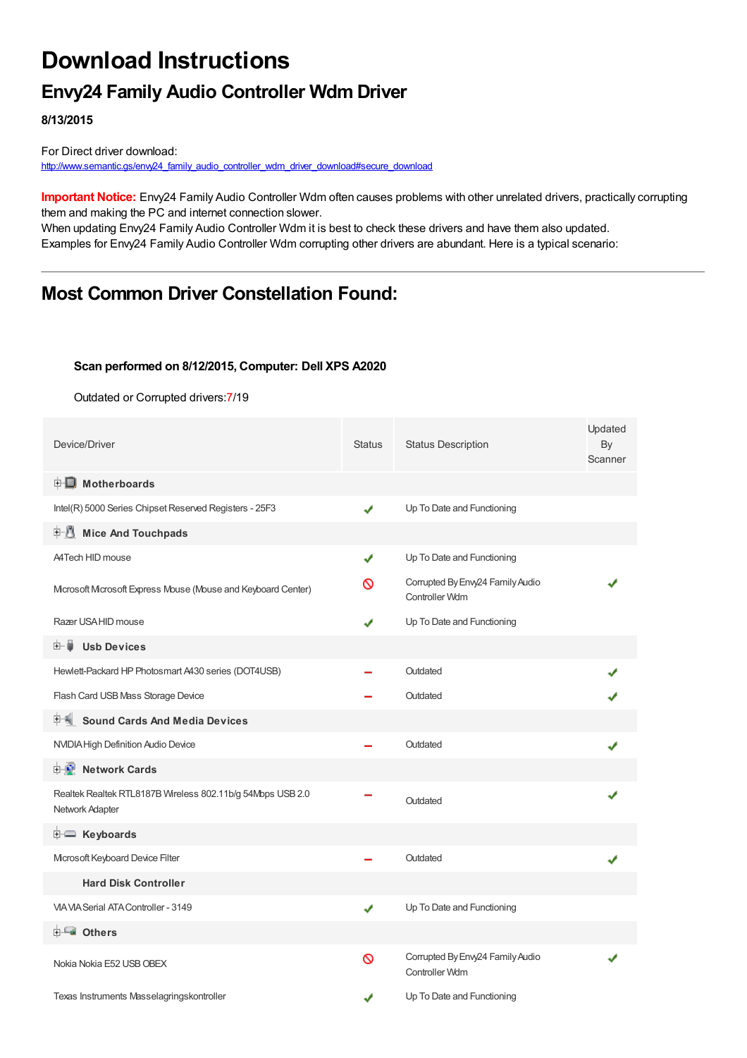# **Download Instructions**

### **Envy24 Family Audio Controller Wdm Driver**

**8/13/2015**

For Direct driver download: [http://www.semantic.gs/envy24\\_family\\_audio\\_controller\\_wdm\\_driver\\_download#secure\\_download](http://www.semantic.gs/envy24_family_audio_controller_wdm_driver_download#secure_download)

**Important Notice:** Envy24 Family Audio Controller Wdm often causes problems with other unrelated drivers, practically corrupting them and making the PC and internet connection slower.

When updating Envy24 Family Audio Controller Wdm it is best to check these drivers and have them also updated. Examples for Envy24 Family Audio Controller Wdm corrupting other drivers are abundant. Here is a typical scenario:

### **Most Common Driver Constellation Found:**

#### **Scan performed on 8/12/2015, Computer: Dell XPS A2020**

Outdated or Corrupted drivers:7/19

| Device/Driver                                                                 | <b>Status</b> | <b>Status Description</b>                          | Updated<br>By<br>Scanner |
|-------------------------------------------------------------------------------|---------------|----------------------------------------------------|--------------------------|
| <b>E</b> Motherboards                                                         |               |                                                    |                          |
| Intel(R) 5000 Series Chipset Reserved Registers - 25F3                        | ✔             | Up To Date and Functioning                         |                          |
| <b>Mice And Touchpads</b><br>E-M                                              |               |                                                    |                          |
| A4Tech HID mouse                                                              | ✔             | Up To Date and Functioning                         |                          |
| Mcrosoft Mcrosoft Express Mouse (Mouse and Keyboard Center)                   | ᠗             | Corrupted By Envy24 Family Audio<br>Controller Wdm |                          |
| Razer USA HID mouse                                                           |               | Up To Date and Functioning                         |                          |
| <b>Usb Devices</b><br>田一首                                                     |               |                                                    |                          |
| Hewlett-Packard HP Photosmart A430 series (DOT4USB)                           |               | Outdated                                           |                          |
| Flash Card USB Mass Storage Device                                            |               | Outdated                                           |                          |
| <b>Sound Cards And Media Devices</b>                                          |               |                                                    |                          |
| NVIDIA High Definition Audio Device                                           |               | Outdated                                           |                          |
| <b>E-2</b> Network Cards                                                      |               |                                                    |                          |
| Realtek Realtek RTL8187B Wireless 802.11b/g 54Mbps USB 2.0<br>Network Adapter |               | Outdated                                           |                          |
| <b>E</b> Keyboards                                                            |               |                                                    |                          |
| Mcrosoft Keyboard Device Filter                                               |               | Outdated                                           |                          |
| <b>Hard Disk Controller</b>                                                   |               |                                                    |                          |
| VIA VIA Serial ATA Controller - 3149                                          | ✔             | Up To Date and Functioning                         |                          |
| <b>ELE</b> Others                                                             |               |                                                    |                          |
| Nokia Nokia E52 USB OBEX                                                      | ∾             | Corrupted By Envy24 Family Audio<br>Controller Wdm |                          |
| Texas Instruments Masselagringskontroller                                     |               | Up To Date and Functioning                         |                          |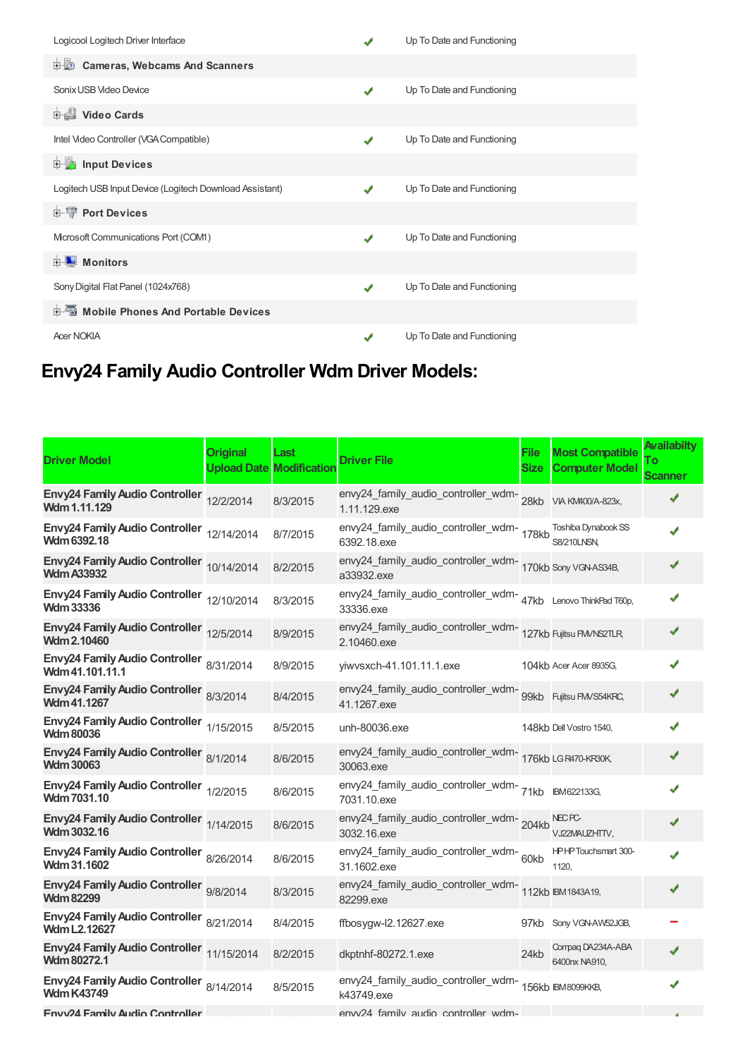| Logicool Logitech Driver Interface                      |   | Up To Date and Functioning |
|---------------------------------------------------------|---|----------------------------|
| D-10<br><b>Cameras, Webcams And Scanners</b>            |   |                            |
| Sonix USB Video Device                                  | ✔ | Up To Date and Functioning |
| <b>Dideo Cards</b>                                      |   |                            |
| Intel Video Controller (VGA Compatible)                 |   | Up To Date and Functioning |
| <b>E</b> Input Devices                                  |   |                            |
| Logitech USB Input Device (Logitech Download Assistant) |   | Up To Date and Functioning |
| <b>E-W</b> Port Devices                                 |   |                            |
| Mcrosoft Communications Port (COM1)                     | ✔ | Up To Date and Functioning |
| $\blacksquare$ Monitors<br>$+$                          |   |                            |
| Sony Digital Flat Panel (1024x768)                      | J | Up To Date and Functioning |
| <b>E-6</b> Mobile Phones And Portable Devices           |   |                            |
| <b>Acer NOKIA</b>                                       |   | Up To Date and Functioning |

# **Envy24 Family Audio Controller Wdm Driver Models:**

| <b>Driver Model</b>                                             | <b>Original</b> | Last<br><b>Upload Date Modification</b> | <b>Driver File</b>                                                            | File<br>Size | <b>Most Compatible</b><br><b>Computer Model</b> | <b>Availabilty</b><br>Tо<br><b>Scanner</b> |
|-----------------------------------------------------------------|-----------------|-----------------------------------------|-------------------------------------------------------------------------------|--------------|-------------------------------------------------|--------------------------------------------|
| Envy24 Family Audio Controller 12/2/2014<br>Wdm 1.11.129        |                 | 8/3/2015                                | envy24_family_audio_controller_wdm-<br>28kb viA KM400/A-823x,<br>1.11.129.exe |              |                                                 |                                            |
| Envy24 Family Audio Controller 12/14/2014<br>Wdm 6392.18        |                 | 8/7/2015                                | envy24_family_audio_controller_wdm-178kb<br>6392.18.exe                       |              | Toshiba Dynabook SS<br><b>S8/210LNSN,</b>       |                                            |
| Envy24 Family Audio Controller 10/14/2014<br><b>Wdm A33932</b>  |                 | 8/2/2015                                | envy24_family_audio_controller_wdm-<br>170kb Sony VGNAS34B,<br>a33932.exe     |              |                                                 |                                            |
| Envy24 Family Audio Controller 12/10/2014<br><b>Wdm 33336</b>   |                 | 8/3/2015                                | envy24_family_audio_controller_wdm-47kb Lenovo ThinkPad T60p,<br>33336.exe    |              |                                                 |                                            |
| Envy24 Family Audio Controller 12/5/2014<br><b>Wdm 2.10460</b>  |                 | 8/9/2015                                | envy24_family_audio_controller_wdm-<br>127kb Fujitsu FM/NS2TLR<br>2.10460.exe |              |                                                 |                                            |
| Envy24 Family Audio Controller 8/31/2014<br>Wdm 41.101.11.1     |                 | 8/9/2015                                | yiwvsxch-41.101.11.1.exe                                                      |              | 104kb Acer Acer 8935G,                          |                                            |
| Envy24 Family Audio Controller 8/3/2014<br>Wdm 41.1267          |                 | 8/4/2015                                | envy24_family_audio_controller_wdm-<br>99kb Fujitsu FMVS54KRC,<br>41.1267.exe |              |                                                 |                                            |
| Envy24 Family Audio Controller 1/15/2015<br><b>Wdm 80036</b>    |                 | 8/5/2015                                | unh-80036.exe                                                                 |              | 148kb Dell Vostro 1540,                         |                                            |
| Envy24 Family Audio Controller 8/1/2014<br><b>Wdm 30063</b>     |                 | 8/6/2015                                | envy24_family_audio_controller_wdm-<br>176kb LGR470-KR30K,<br>30063.exe       |              |                                                 |                                            |
| Envy24 Family Audio Controller 1/2/2015<br><b>Wdm 7031.10</b>   |                 | 8/6/2015                                | envy24_family_audio_controller_wdm-71kb BM622133G,<br>7031.10.exe             |              |                                                 |                                            |
| Envy24 Family Audio Controller 1/14/2015<br>Wdm 3032.16         |                 | 8/6/2015                                | envy24_family_audio_controller_wdm-204kb<br>3032.16.exe                       |              | <b>NEC PC-</b><br>VJ22MAUZHTTV.                 |                                            |
| Envy24 Family Audio Controller 8/26/2014<br><b>Wdm 31.1602</b>  |                 | 8/6/2015                                | envy24_family_audio_controller_wdm-60kb<br>31.1602.exe                        |              | <b>HPHPTouchsmart 300-</b><br>1120.             |                                            |
| Envy24 Family Audio Controller 9/8/2014<br><b>Wdm 82299</b>     |                 | 8/3/2015                                | envy24_family_audio_controller_wdm-<br>112kb IBM1843A19,<br>82299.exe         |              |                                                 |                                            |
| Envy24 Family Audio Controller 8/21/2014<br><b>Wdm L2.12627</b> |                 | 8/4/2015                                | ffbosygw-l2.12627.exe                                                         |              | 97kb Sony VGN-AW52JGB,                          |                                            |
| Envy24 Family Audio Controller 11/15/2014<br><b>Wdm 80272.1</b> |                 | 8/2/2015                                | dkptnhf-80272.1.exe                                                           | 24kb         | Compaq DA234A-ABA<br>6400nx NA910.              |                                            |
| Envy24 Family Audio Controller 8/14/2014<br><b>Wdm K43749</b>   |                 | 8/5/2015                                | envy24_family_audio_controller_wdm-<br>156kb IBM8099KKB,<br>k43749.exe        |              |                                                 |                                            |
| <b>Fnvv24 Family Audio Controller</b>                           |                 |                                         | envy24 family audio controller wdm-                                           |              |                                                 |                                            |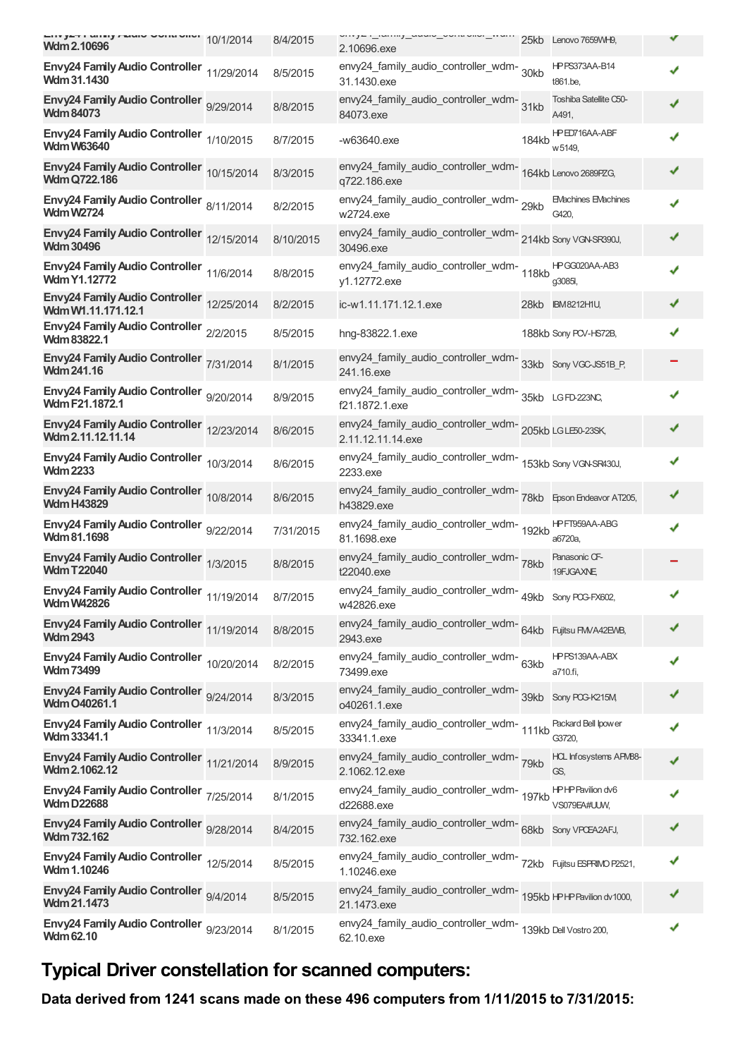| Wdm 2.10696                                                      | 8/4/2015  | vy_ ._.uy_uuu.v_vvu vv._u 25kb Lenovo 7659WH9,<br>2.10696.exe                     |       |                                     |   |
|------------------------------------------------------------------|-----------|-----------------------------------------------------------------------------------|-------|-------------------------------------|---|
| Envy24 Family Audio Controller 11/29/2014<br>Wdm 31.1430         | 8/5/2015  | envy24_family_audio_controller_wdm-30kb<br>31.1430.exe                            |       | <b>HPPS373AA-B14</b><br>t861.be,    |   |
| Envy24 Family Audio Controller 9/29/2014<br><b>Wdm 84073</b>     | 8/8/2015  | envy24_family_audio_controller_wdm-<br>31kb<br>84073.exe                          |       | Toshiba Satellite C50-<br>A491,     |   |
| Envy24 Family Audio Controller 1/10/2015<br><b>Wdm W63640</b>    | 8/7/2015  | $-w63640$ .exe                                                                    | 184kb | HPED716AA-ABF<br>w 5149,            |   |
| Envy24 Family Audio Controller 10/15/2014<br><b>Wdm Q722.186</b> | 8/3/2015  | envy24_family_audio_controller_wdm-<br>164kb Lenovo 2689PZG,<br>q722.186.exe      |       |                                     | ✔ |
| Envy24 Family Audio Controller 8/11/2014<br><b>Wdm W2724</b>     | 8/2/2015  | envy24_family_audio_controller_wdm-29kb<br>w2724.exe                              |       | <b>EMachines EMachines</b><br>G420, |   |
| Envy24 Family Audio Controller 12/15/2014<br><b>Wdm 30496</b>    | 8/10/2015 | envy24_family_audio_controller_wdm-214kb Sony VGN-SR390J,<br>30496.exe            |       |                                     |   |
| Envy24 Family Audio Controller 11/6/2014<br><b>Wdm Y1.12772</b>  | 8/8/2015  | envy24_family_audio_controller_wdm-118kb<br>y1.12772.exe                          |       | HPGG020AA-AB3<br>q3085l,            |   |
| Envy24 Family Audio Controller 12/25/2014<br>Wdm W1.11.171.12.1  | 8/2/2015  | ic-w1.11.171.12.1.exe                                                             |       | 28kb IBM8212H1U,                    |   |
| Envy24 Family Audio Controller 2/2/2015<br><b>Wdm 83822.1</b>    | 8/5/2015  | hng-83822.1.exe                                                                   |       | 188kb Sony PCV-HS72B,               |   |
| Envy24 Family Audio Controller 7/31/2014<br><b>Wdm 241.16</b>    | 8/1/2015  | envy24_family_audio_controller_wdm-<br>33kb Sony VGC-JS51B_P,<br>241.16.exe       |       |                                     |   |
| Envy24 Family Audio Controller 9/20/2014<br>Wdm F21.1872.1       | 8/9/2015  | envy24_family_audio_controller_wdm-<br>35kb LGFD-223NC,<br>f21.1872.1.exe         |       |                                     |   |
| Envy24 Family Audio Controller 12/23/2014<br>Wdm 2.11.12.11.14   | 8/6/2015  | envy24_family_audio_controller_wdm-205kb LGLE60-23SK,<br>2.11.12.11.14.exe        |       |                                     | ✔ |
| Envy24 Family Audio Controller 10/3/2014<br><b>Wdm 2233</b>      | 8/6/2015  | envy24_family_audio_controller_wdm-<br>153kb Sony VGN-SR430J,<br>2233.exe         |       |                                     |   |
| Envy24 Family Audio Controller 10/8/2014<br><b>Wdm H43829</b>    | 8/6/2015  | envy24_family_audio_controller_wdm-<br>78kb Epson Endeavor AT205,<br>h43829.exe   |       |                                     |   |
| Envy24 Family Audio Controller 9/22/2014<br>Wdm 81.1698          | 7/31/2015 | envy24_family_audio_controller_wdm-<br>192kb<br>81.1698.exe                       |       | HPFT959AA-ABG<br>a6720a,            |   |
| Envy24 Family Audio Controller 1/3/2015<br><b>WdmT22040</b>      | 8/8/2015  | envy24_family_audio_controller_wdm-78kb<br>t22040.exe                             |       | Panasonic CF-<br>19FJGAXNE,         |   |
| Envy24 Family Audio Controller 11/19/2014<br><b>Wdm W42826</b>   | 8/7/2015  | envy24_family_audio_controller_wdm-<br>w42826.exe                                 |       | 49kb Sony PCG-FX602,                |   |
| Envy24 Family Audio Controller 11/19/2014<br><b>Wdm 2943</b>     | 8/8/2015  | envy24_family_audio_controller_wdm-<br>64kb Fujitsu FM/A42EMB,<br>2943.exe        |       |                                     |   |
| Envy24 Family Audio Controller 10/20/2014<br><b>Wdm 73499</b>    | 8/2/2015  | envy24_family_audio_controller_wdm-63kb<br>73499.exe                              |       | HPPS139AA-ABX<br>a710.fi,           |   |
| Envy24 Family Audio Controller 9/24/2014<br>Wdm O40261.1         | 8/3/2015  | envy24_family_audio_controller_wdm-<br>39kb<br>o40261.1.exe                       |       | Sony PCG-K215M                      |   |
| Envy24 Family Audio Controller 11/3/2014<br>Wdm 33341.1          | 8/5/2015  | envy24_family_audio_controller_wdm-111kb<br>33341.1.exe                           |       | Packard Bell Ipower<br>G3720,       |   |
| Envy24 Family Audio Controller 11/21/2014<br>Wdm 2.1062.12       | 8/9/2015  | envy24_family_audio_controller_wdm-<br>79kb<br>2.1062.12.exe                      |       | HCL Infosystems APM88-<br>GS,       |   |
| Envy24 Family Audio Controller 7/25/2014<br><b>Wdm D22688</b>    | 8/1/2015  | envy24_family_audio_controller_wdm-<br>197kb<br>d22688.exe                        |       | HPHP Pavilion dv6<br>VS079EA#UUW,   |   |
| Envy24 Family Audio Controller 9/28/2014<br><b>Wdm 732.162</b>   | 8/4/2015  | envy24_family_audio_controller_wdm- 68kb Sony VPCEA2AFJ,<br>732.162.exe           |       |                                     |   |
| Envy24 Family Audio Controller 12/5/2014<br>Wdm 1.10246          | 8/5/2015  | envy24_family_audio_controller_wdm-<br>72kb Fujitsu ESFRIMO P2521,<br>1.10246.exe |       |                                     |   |
| Envy24 Family Audio Controller 9/4/2014<br>Wdm 21.1473           | 8/5/2015  | 21.1473.exe                                                                       |       |                                     |   |
| Envy24 Family Audio Controller 9/23/2014<br><b>Wdm 62.10</b>     | 8/1/2015  | envy24_family_audio_controller_wdm-<br>139kb Dell Vostro 200,<br>62.10.exe        |       |                                     |   |

## **Typical Driver constellation for scanned computers:**

**Data derived from 1241 scans made on these 496 computers from 1/11/2015 to 7/31/2015:**